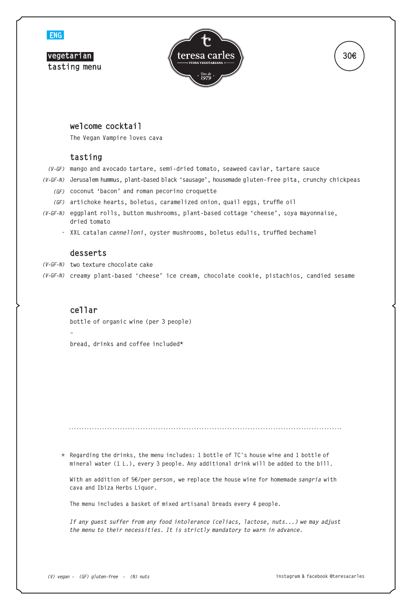

## **welcome cocktail**

**The Vegan Vampire loves cava**

# **tasting**

*(V-GF)* **mango and avocado tartare, semi-dried tomato, seaweed caviar, tartare sauce**

*(V-GF-N)* **Jerusalem hummus, plant-based black 'sausage', housemade gluten-free pita, crunchy chickpeas**

- *(GF)* **coconut 'bacon' and roman pecorino croquette**
- *(GF)* **artichoke hearts, boletus, caramelized onion, quail eggs, truffle oil**
- *(V-GF-N)* **eggplant rolls, button mushrooms, plant-based cottage 'cheese', soya mayonnaise, dried tomato**
	- *-* **XXL catalan** *cannelloni***, oyster mushrooms, boletus edulis, truffled bechamel**

#### **desserts**

- *(V-GF-N)* **two texture chocolate cake**
- *(V-GF-N)* **creamy plant-based 'cheese' ice cream, chocolate cookie, pistachios, candied sesame**

# **cellar**

**–**

**bottle of organic wine (per 3 people)**

**bread, drinks and coffee included\***

**Regarding the drinks, the menu includes: 1 bottle of TC's house wine and 1 bottle of** \* **mineral water (1 L.), every 3 people. Any additional drink will be added to the bill.**

**With an addition of 5€/per person, we replace the house wine for homemade** *sangria* **with cava and Ibiza Herbs Liquor.**

**The menu includes a basket of mixed artisanal breads every 4 people.**

*If any guest suffer from any food intolerance (celiacs, lactose, nuts...) we may adjust the menu to their necessities. It is strictly mandatory to warn in advance.*